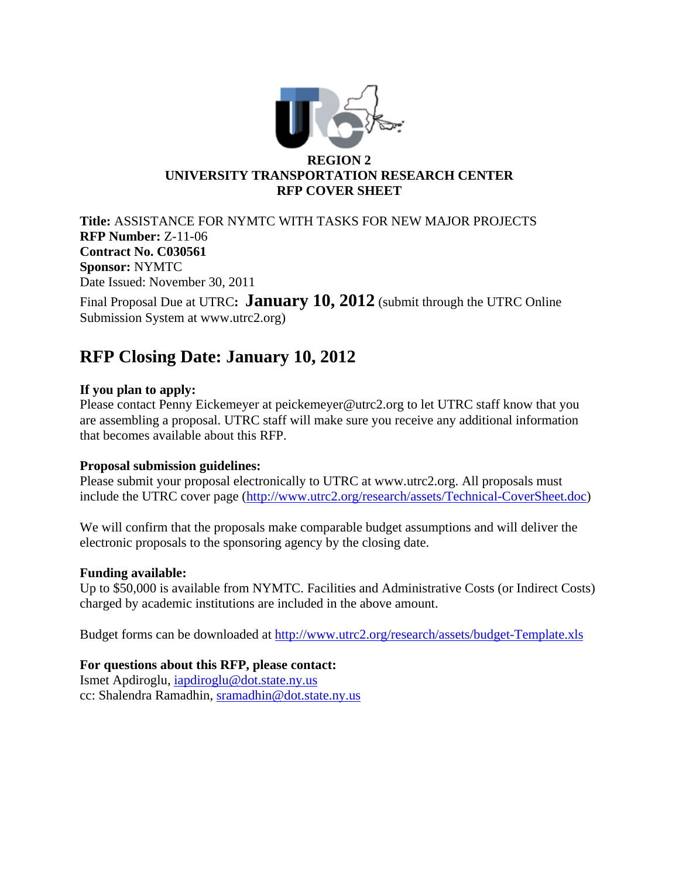

**Title:** ASSISTANCE FOR NYMTC WITH TASKS FOR NEW MAJOR PROJECTS **RFP Number:** Z-11-06 **Contract No. C030561 Sponsor:** NYMTC Date Issued: November 30, 2011 Final Proposal Due at UTRC**:** January 10, 2012 (submit through the UTRC Online Submission System at www.utrc2.org)

# **RFP Closing Date: January 10, 2012**

### **If you plan to apply:**

Please contact Penny Eickemeyer at peickemeyer@utrc2.org to let UTRC staff know that you are assembling a proposal. UTRC staff will make sure you receive any additional information that becomes available about this RFP.

### **Proposal submission guidelines:**

Please submit your proposal electronically to UTRC at www.utrc2.org. All proposals must include the UTRC cover page (http://www.utrc2.org/research/assets/Technical-CoverSheet.doc)

We will confirm that the proposals make comparable budget assumptions and will deliver the electronic proposals to the sponsoring agency by the closing date.

### **Funding available:**

Up to \$50,000 is available from NYMTC. Facilities and Administrative Costs (or Indirect Costs) charged by academic institutions are included in the above amount.

Budget forms can be downloaded at http://www.utrc2.org/research/assets/budget-Template.xls

### **For questions about this RFP, please contact:**

Ismet Apdiroglu, iapdiroglu@dot.state.ny.us cc: Shalendra Ramadhin, sramadhin@dot.state.ny.us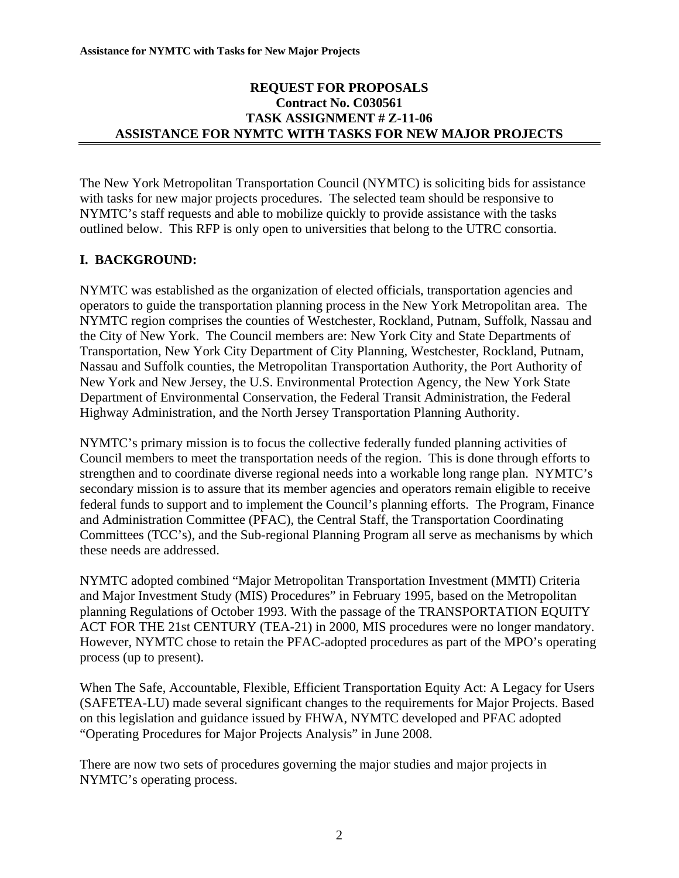### **REQUEST FOR PROPOSALS Contract No. C030561 TASK ASSIGNMENT # Z-11-06 ASSISTANCE FOR NYMTC WITH TASKS FOR NEW MAJOR PROJECTS**

The New York Metropolitan Transportation Council (NYMTC) is soliciting bids for assistance with tasks for new major projects procedures. The selected team should be responsive to NYMTC's staff requests and able to mobilize quickly to provide assistance with the tasks outlined below. This RFP is only open to universities that belong to the UTRC consortia.

### **I. BACKGROUND:**

NYMTC was established as the organization of elected officials, transportation agencies and operators to guide the transportation planning process in the New York Metropolitan area. The NYMTC region comprises the counties of Westchester, Rockland, Putnam, Suffolk, Nassau and the City of New York. The Council members are: New York City and State Departments of Transportation, New York City Department of City Planning, Westchester, Rockland, Putnam, Nassau and Suffolk counties, the Metropolitan Transportation Authority, the Port Authority of New York and New Jersey, the U.S. Environmental Protection Agency, the New York State Department of Environmental Conservation, the Federal Transit Administration, the Federal Highway Administration, and the North Jersey Transportation Planning Authority.

NYMTC's primary mission is to focus the collective federally funded planning activities of Council members to meet the transportation needs of the region. This is done through efforts to strengthen and to coordinate diverse regional needs into a workable long range plan. NYMTC's secondary mission is to assure that its member agencies and operators remain eligible to receive federal funds to support and to implement the Council's planning efforts. The Program, Finance and Administration Committee (PFAC), the Central Staff, the Transportation Coordinating Committees (TCC's), and the Sub-regional Planning Program all serve as mechanisms by which these needs are addressed.

NYMTC adopted combined "Major Metropolitan Transportation Investment (MMTI) Criteria and Major Investment Study (MIS) Procedures" in February 1995, based on the Metropolitan planning Regulations of October 1993. With the passage of the TRANSPORTATION EQUITY ACT FOR THE 21st CENTURY (TEA-21) in 2000, MIS procedures were no longer mandatory. However, NYMTC chose to retain the PFAC-adopted procedures as part of the MPO's operating process (up to present).

When The Safe, Accountable, Flexible, Efficient Transportation Equity Act: A Legacy for Users (SAFETEA-LU) made several significant changes to the requirements for Major Projects. Based on this legislation and guidance issued by FHWA, NYMTC developed and PFAC adopted "Operating Procedures for Major Projects Analysis" in June 2008.

There are now two sets of procedures governing the major studies and major projects in NYMTC's operating process.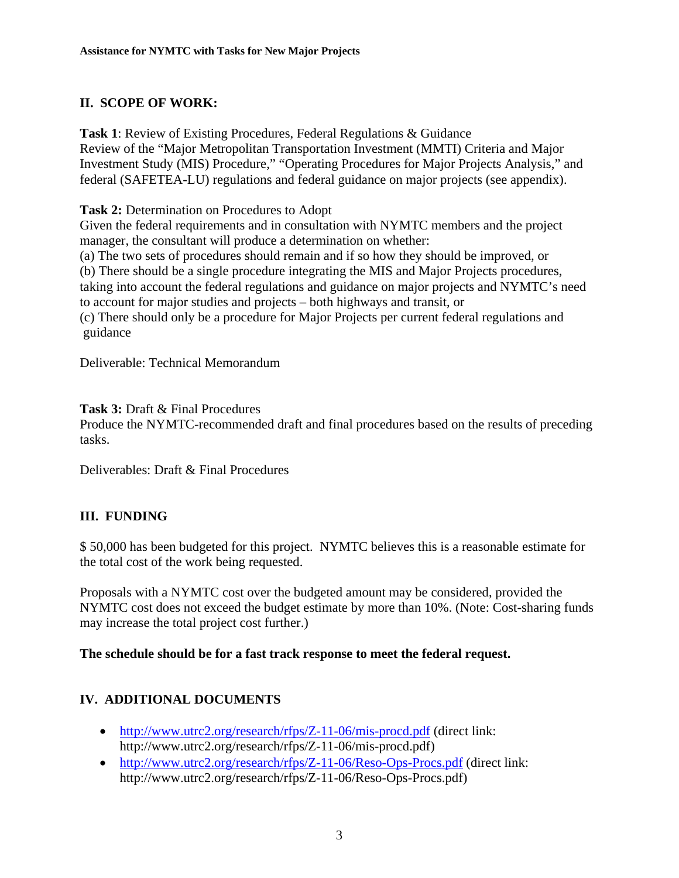# **II. SCOPE OF WORK:**

**Task 1**: Review of Existing Procedures, Federal Regulations & Guidance Review of the "Major Metropolitan Transportation Investment (MMTI) Criteria and Major Investment Study (MIS) Procedure," "Operating Procedures for Major Projects Analysis," and federal (SAFETEA-LU) regulations and federal guidance on major projects (see appendix).

**Task 2:** Determination on Procedures to Adopt

Given the federal requirements and in consultation with NYMTC members and the project manager, the consultant will produce a determination on whether:

(a) The two sets of procedures should remain and if so how they should be improved, or (b) There should be a single procedure integrating the MIS and Major Projects procedures, taking into account the federal regulations and guidance on major projects and NYMTC's need to account for major studies and projects – both highways and transit, or

(c) There should only be a procedure for Major Projects per current federal regulations and guidance

Deliverable: Technical Memorandum

**Task 3:** Draft & Final Procedures

Produce the NYMTC-recommended draft and final procedures based on the results of preceding tasks.

Deliverables: Draft & Final Procedures

# **III. FUNDING**

\$ 50,000 has been budgeted for this project. NYMTC believes this is a reasonable estimate for the total cost of the work being requested.

Proposals with a NYMTC cost over the budgeted amount may be considered, provided the NYMTC cost does not exceed the budget estimate by more than 10%. (Note: Cost-sharing funds may increase the total project cost further.)

### **The schedule should be for a fast track response to meet the federal request.**

### **IV. ADDITIONAL DOCUMENTS**

- http://www.utrc2.org/research/rfps/Z-11-06/mis-procd.pdf (direct link: http://www.utrc2.org/research/rfps/Z-11-06/mis-procd.pdf)
- http://www.utrc2.org/research/rfps/Z-11-06/Reso-Ops-Procs.pdf (direct link: http://www.utrc2.org/research/rfps/Z-11-06/Reso-Ops-Procs.pdf)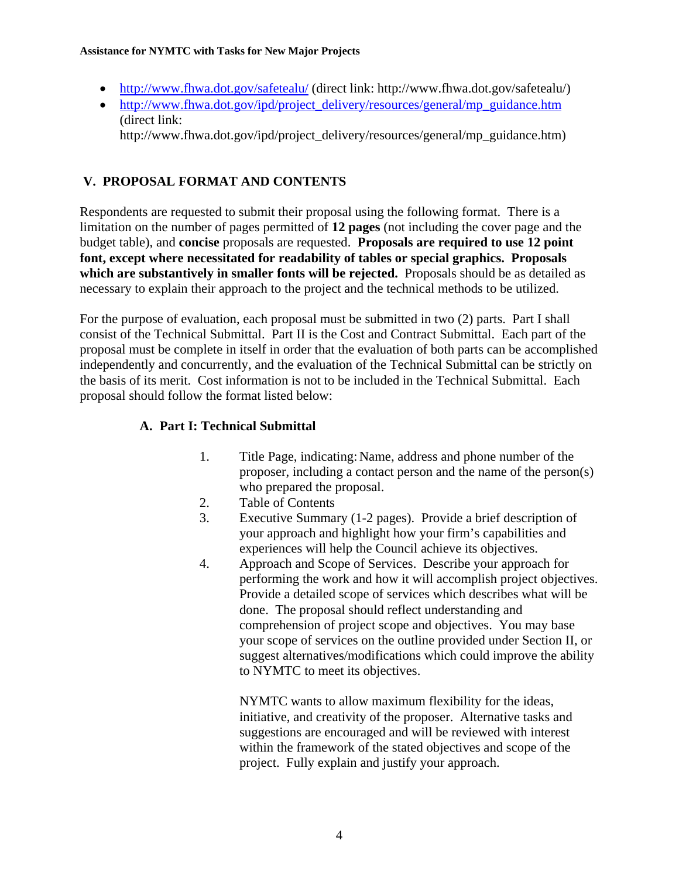#### **Assistance for NYMTC with Tasks for New Major Projects**

- http://www.fhwa.dot.gov/safetealu/ (direct link: http://www.fhwa.dot.gov/safetealu/)
- http://www.fhwa.dot.gov/ipd/project\_delivery/resources/general/mp\_guidance.htm (direct link:

http://www.fhwa.dot.gov/ipd/project\_delivery/resources/general/mp\_guidance.htm)

## **V. PROPOSAL FORMAT AND CONTENTS**

Respondents are requested to submit their proposal using the following format. There is a limitation on the number of pages permitted of **12 pages** (not including the cover page and the budget table), and **concise** proposals are requested. **Proposals are required to use 12 point font, except where necessitated for readability of tables or special graphics. Proposals which are substantively in smaller fonts will be rejected.** Proposals should be as detailed as necessary to explain their approach to the project and the technical methods to be utilized.

For the purpose of evaluation, each proposal must be submitted in two (2) parts. Part I shall consist of the Technical Submittal. Part II is the Cost and Contract Submittal. Each part of the proposal must be complete in itself in order that the evaluation of both parts can be accomplished independently and concurrently, and the evaluation of the Technical Submittal can be strictly on the basis of its merit. Cost information is not to be included in the Technical Submittal. Each proposal should follow the format listed below:

### **A. Part I: Technical Submittal**

- 1. Title Page, indicating: Name, address and phone number of the proposer, including a contact person and the name of the person(s) who prepared the proposal.
- 2. Table of Contents
- 3. Executive Summary (1-2 pages). Provide a brief description of your approach and highlight how your firm's capabilities and experiences will help the Council achieve its objectives.
- 4. Approach and Scope of Services. Describe your approach for performing the work and how it will accomplish project objectives. Provide a detailed scope of services which describes what will be done. The proposal should reflect understanding and comprehension of project scope and objectives. You may base your scope of services on the outline provided under Section II, or suggest alternatives/modifications which could improve the ability to NYMTC to meet its objectives.

NYMTC wants to allow maximum flexibility for the ideas, initiative, and creativity of the proposer. Alternative tasks and suggestions are encouraged and will be reviewed with interest within the framework of the stated objectives and scope of the project. Fully explain and justify your approach.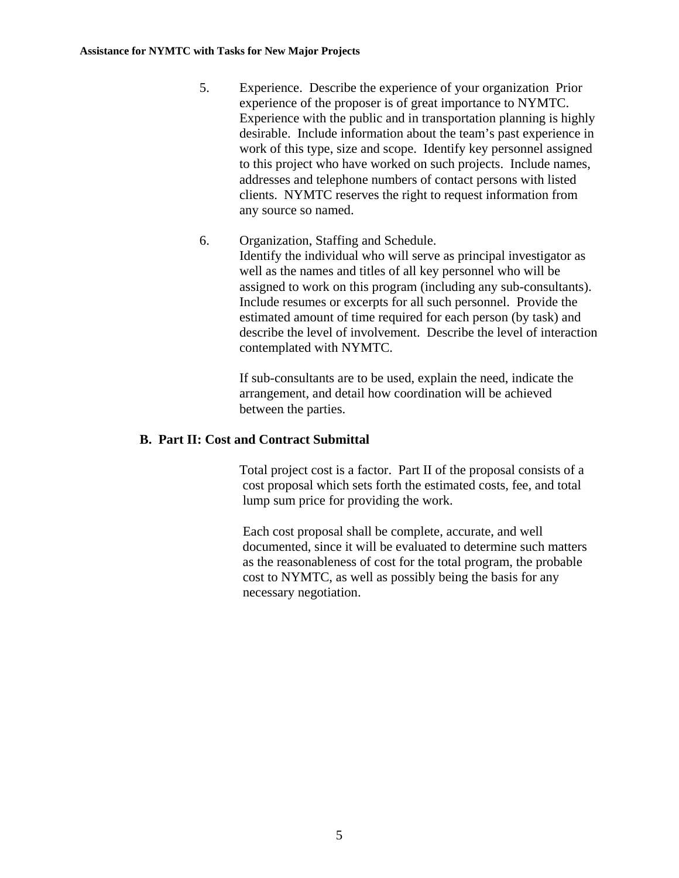- 5. Experience. Describe the experience of your organization Prior experience of the proposer is of great importance to NYMTC. Experience with the public and in transportation planning is highly desirable. Include information about the team's past experience in work of this type, size and scope. Identify key personnel assigned to this project who have worked on such projects. Include names, addresses and telephone numbers of contact persons with listed clients. NYMTC reserves the right to request information from any source so named.
- 6. Organization, Staffing and Schedule. Identify the individual who will serve as principal investigator as well as the names and titles of all key personnel who will be assigned to work on this program (including any sub-consultants). Include resumes or excerpts for all such personnel. Provide the estimated amount of time required for each person (by task) and describe the level of involvement. Describe the level of interaction contemplated with NYMTC.

If sub-consultants are to be used, explain the need, indicate the arrangement, and detail how coordination will be achieved between the parties.

### **B. Part II: Cost and Contract Submittal**

 Total project cost is a factor. Part II of the proposal consists of a cost proposal which sets forth the estimated costs, fee, and total lump sum price for providing the work.

 Each cost proposal shall be complete, accurate, and well documented, since it will be evaluated to determine such matters as the reasonableness of cost for the total program, the probable cost to NYMTC, as well as possibly being the basis for any necessary negotiation.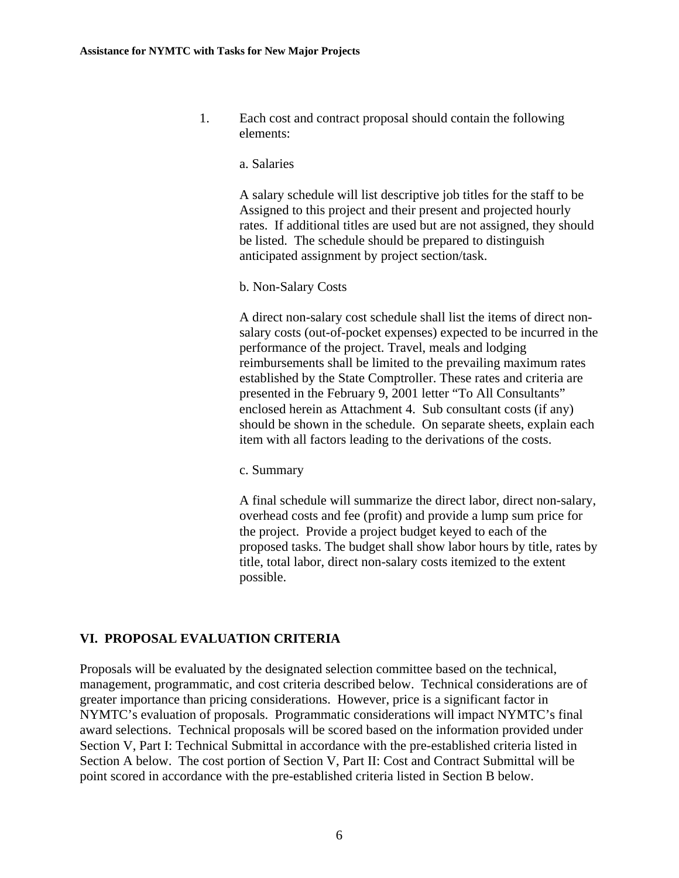1. Each cost and contract proposal should contain the following elements:

#### a. Salaries

 A salary schedule will list descriptive job titles for the staff to be Assigned to this project and their present and projected hourly rates. If additional titles are used but are not assigned, they should be listed. The schedule should be prepared to distinguish anticipated assignment by project section/task.

#### b. Non-Salary Costs

 A direct non-salary cost schedule shall list the items of direct non salary costs (out-of-pocket expenses) expected to be incurred in the performance of the project. Travel, meals and lodging reimbursements shall be limited to the prevailing maximum rates established by the State Comptroller. These rates and criteria are presented in the February 9, 2001 letter "To All Consultants" enclosed herein as Attachment 4. Sub consultant costs (if any) should be shown in the schedule. On separate sheets, explain each item with all factors leading to the derivations of the costs.

c. Summary

 A final schedule will summarize the direct labor, direct non-salary, overhead costs and fee (profit) and provide a lump sum price for the project. Provide a project budget keyed to each of the proposed tasks. The budget shall show labor hours by title, rates by title, total labor, direct non-salary costs itemized to the extent possible.

### **VI. PROPOSAL EVALUATION CRITERIA**

Proposals will be evaluated by the designated selection committee based on the technical, management, programmatic, and cost criteria described below. Technical considerations are of greater importance than pricing considerations. However, price is a significant factor in NYMTC's evaluation of proposals. Programmatic considerations will impact NYMTC's final award selections. Technical proposals will be scored based on the information provided under Section V, Part I: Technical Submittal in accordance with the pre-established criteria listed in Section A below. The cost portion of Section V, Part II: Cost and Contract Submittal will be point scored in accordance with the pre-established criteria listed in Section B below.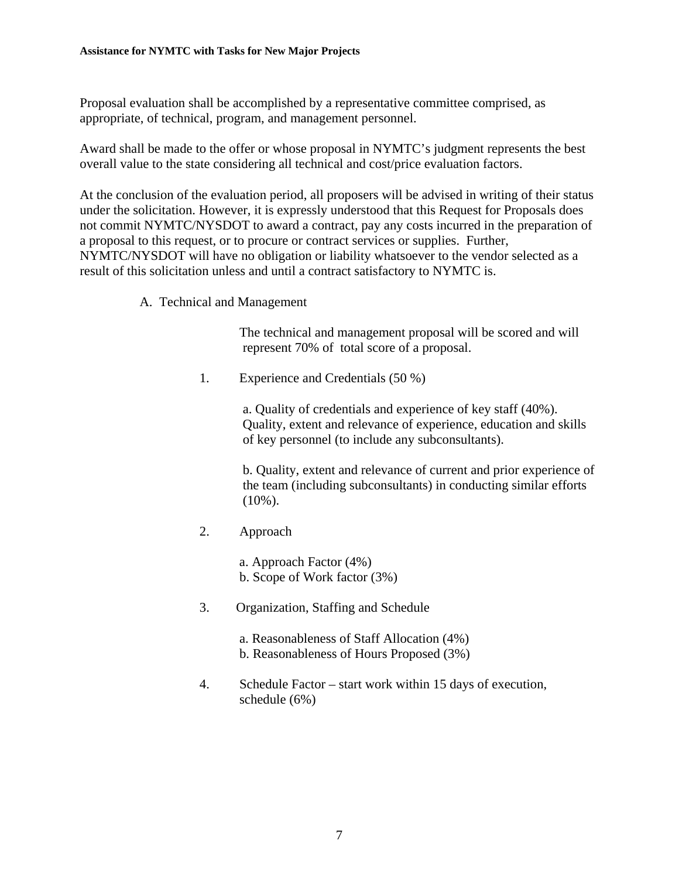Proposal evaluation shall be accomplished by a representative committee comprised, as appropriate, of technical, program, and management personnel.

Award shall be made to the offer or whose proposal in NYMTC's judgment represents the best overall value to the state considering all technical and cost/price evaluation factors.

At the conclusion of the evaluation period, all proposers will be advised in writing of their status under the solicitation. However, it is expressly understood that this Request for Proposals does not commit NYMTC/NYSDOT to award a contract, pay any costs incurred in the preparation of a proposal to this request, or to procure or contract services or supplies. Further, NYMTC/NYSDOT will have no obligation or liability whatsoever to the vendor selected as a result of this solicitation unless and until a contract satisfactory to NYMTC is.

A. Technical and Management

 The technical and management proposal will be scored and will represent 70% of total score of a proposal.

1. Experience and Credentials (50 %)

 a. Quality of credentials and experience of key staff (40%). Quality, extent and relevance of experience, education and skills of key personnel (to include any subconsultants).

 b. Quality, extent and relevance of current and prior experience of the team (including subconsultants) in conducting similar efforts  $(10\%)$ .

2. Approach

 a. Approach Factor (4%) b. Scope of Work factor (3%)

- 3. Organization, Staffing and Schedule
	- a. Reasonableness of Staff Allocation (4%) b. Reasonableness of Hours Proposed (3%)
- 4. Schedule Factor start work within 15 days of execution, schedule (6%)